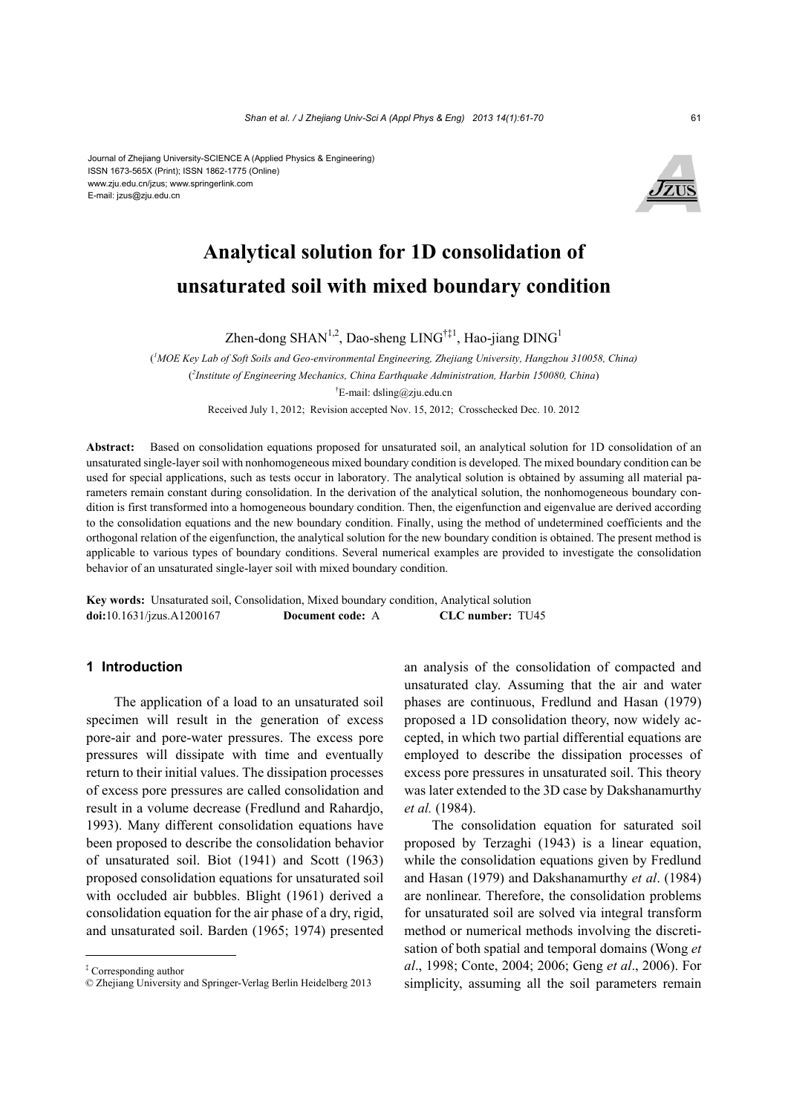#### Journal of Zhejiang University-SCIENCE A (Applied Physics & Engineering) ISSN 1673-565X (Print); ISSN 1862-1775 (Online) www.zju.edu.cn/jzus; www.springerlink.com E-mail: jzus@zju.edu.cn



# **Analytical solution for 1D consolidation of unsaturated soil with mixed boundary condition**

Zhen-dong SHAN<sup>1,2</sup>, Dao-sheng LING<sup>†‡1</sup>, Hao-jiang DING<sup>1</sup>

( *1 MOE Key Lab of Soft Soils and Geo-environmental Engineering, Zhejiang University, Hangzhou 310058, China)*  ( *2 Institute of Engineering Mechanics, China Earthquake Administration, Harbin 150080, China*) † E-mail: dsling@zju.edu.cn Received July 1, 2012; Revision accepted Nov. 15, 2012; Crosschecked Dec. 10. 2012

**Abstract:** Based on consolidation equations proposed for unsaturated soil, an analytical solution for 1D consolidation of an unsaturated single-layer soil with nonhomogeneous mixed boundary condition is developed. The mixed boundary condition can be used for special applications, such as tests occur in laboratory. The analytical solution is obtained by assuming all material parameters remain constant during consolidation. In the derivation of the analytical solution, the nonhomogeneous boundary condition is first transformed into a homogeneous boundary condition. Then, the eigenfunction and eigenvalue are derived according to the consolidation equations and the new boundary condition. Finally, using the method of undetermined coefficients and the orthogonal relation of the eigenfunction, the analytical solution for the new boundary condition is obtained. The present method is applicable to various types of boundary conditions. Several numerical examples are provided to investigate the consolidation behavior of an unsaturated single-layer soil with mixed boundary condition.

**Key words:** Unsaturated soil, Consolidation, Mixed boundary condition, Analytical solution **doi:**10.1631/jzus.A1200167 **Document code:** A **CLC number:** TU45

# **1 Introduction**

The application of a load to an unsaturated soil specimen will result in the generation of excess pore-air and pore-water pressures. The excess pore pressures will dissipate with time and eventually return to their initial values. The dissipation processes of excess pore pressures are called consolidation and result in a volume decrease (Fredlund and Rahardjo, 1993). Many different consolidation equations have been proposed to describe the consolidation behavior of unsaturated soil. Biot (1941) and Scott (1963) proposed consolidation equations for unsaturated soil with occluded air bubbles. Blight (1961) derived a consolidation equation for the air phase of a dry, rigid, and unsaturated soil. Barden (1965; 1974) presented

an analysis of the consolidation of compacted and unsaturated clay. Assuming that the air and water phases are continuous, Fredlund and Hasan (1979) proposed a 1D consolidation theory, now widely accepted, in which two partial differential equations are employed to describe the dissipation processes of excess pore pressures in unsaturated soil. This theory was later extended to the 3D case by Dakshanamurthy *et al.* (1984).

The consolidation equation for saturated soil proposed by Terzaghi (1943) is a linear equation, while the consolidation equations given by Fredlund and Hasan (1979) and Dakshanamurthy *et al*. (1984) are nonlinear. Therefore, the consolidation problems for unsaturated soil are solved via integral transform method or numerical methods involving the discretisation of both spatial and temporal domains (Wong *et al*., 1998; Conte, 2004; 2006; Geng *et al*., 2006). For simplicity, assuming all the soil parameters remain

<sup>‡</sup> Corresponding author

<sup>©</sup> Zhejiang University and Springer-Verlag Berlin Heidelberg 2013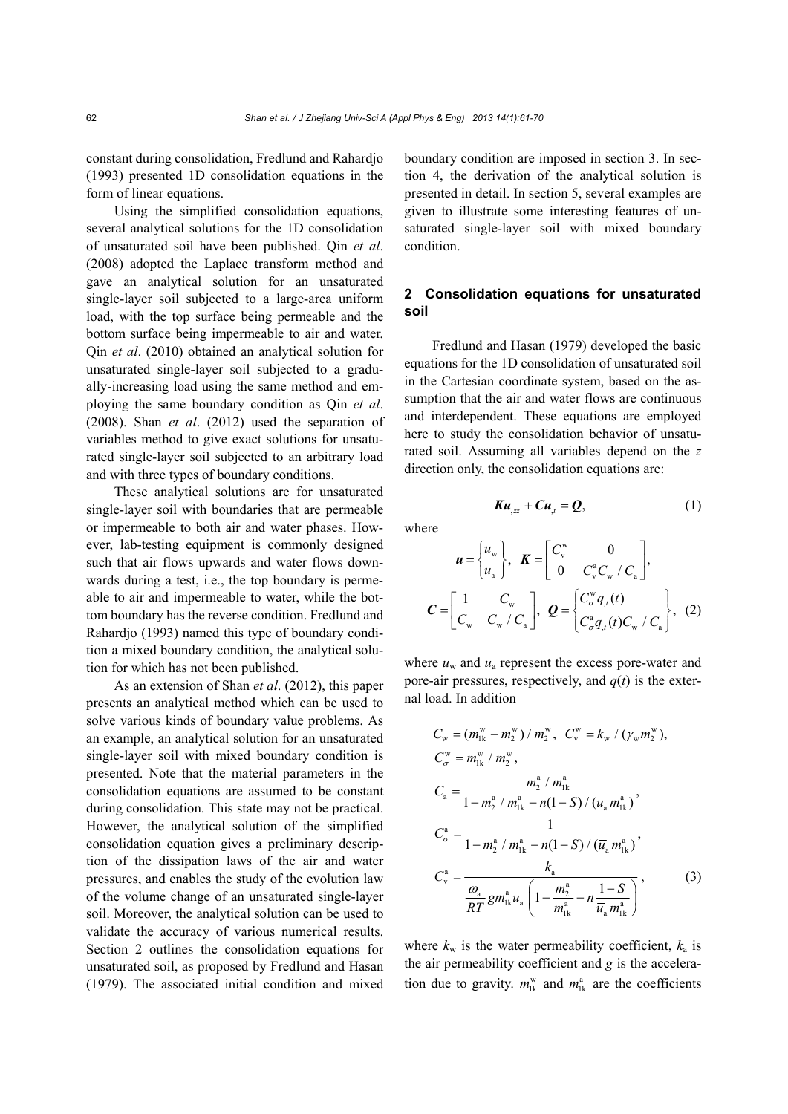constant during consolidation, Fredlund and Rahardjo (1993) presented 1D consolidation equations in the form of linear equations.

Using the simplified consolidation equations, several analytical solutions for the 1D consolidation of unsaturated soil have been published. Qin *et al*. (2008) adopted the Laplace transform method and gave an analytical solution for an unsaturated single-layer soil subjected to a large-area uniform load, with the top surface being permeable and the bottom surface being impermeable to air and water. Qin *et al*. (2010) obtained an analytical solution for unsaturated single-layer soil subjected to a gradually-increasing load using the same method and employing the same boundary condition as Qin *et al*. (2008). Shan *et al*. (2012) used the separation of variables method to give exact solutions for unsaturated single-layer soil subjected to an arbitrary load and with three types of boundary conditions.

These analytical solutions are for unsaturated single-layer soil with boundaries that are permeable or impermeable to both air and water phases. However, lab-testing equipment is commonly designed such that air flows upwards and water flows downwards during a test, i.e., the top boundary is permeable to air and impermeable to water, while the bottom boundary has the reverse condition. Fredlund and Rahardjo (1993) named this type of boundary condition a mixed boundary condition, the analytical solution for which has not been published.

As an extension of Shan *et al*. (2012), this paper presents an analytical method which can be used to solve various kinds of boundary value problems. As an example, an analytical solution for an unsaturated single-layer soil with mixed boundary condition is presented. Note that the material parameters in the consolidation equations are assumed to be constant during consolidation. This state may not be practical. However, the analytical solution of the simplified consolidation equation gives a preliminary description of the dissipation laws of the air and water pressures, and enables the study of the evolution law of the volume change of an unsaturated single-layer soil. Moreover, the analytical solution can be used to validate the accuracy of various numerical results. Section 2 outlines the consolidation equations for unsaturated soil, as proposed by Fredlund and Hasan (1979). The associated initial condition and mixed

boundary condition are imposed in section 3. In section 4, the derivation of the analytical solution is presented in detail. In section 5, several examples are given to illustrate some interesting features of unsaturated single-layer soil with mixed boundary condition.

# **2 Consolidation equations for unsaturated soil**

Fredlund and Hasan (1979) developed the basic equations for the 1D consolidation of unsaturated soil in the Cartesian coordinate system, based on the assumption that the air and water flows are continuous and interdependent. These equations are employed here to study the consolidation behavior of unsaturated soil. Assuming all variables depend on the *z* direction only, the consolidation equations are:

where

$$
\mathbf{u} = \begin{Bmatrix} u_{\rm w} \\ u_{\rm a} \end{Bmatrix}, \quad \mathbf{K} = \begin{bmatrix} C_{\rm v}^{\rm w} & 0 \\ 0 & C_{\rm v}^{\rm a} C_{\rm w} / C_{\rm a} \end{bmatrix},
$$
\n
$$
\mathbf{C} = \begin{bmatrix} 1 & C_{\rm w} \\ C_{\rm w} & C_{\rm w} / C_{\rm a} \end{bmatrix}, \quad \mathbf{Q} = \begin{Bmatrix} C_{\rm o}^{\rm w} q_{\rm t}(t) \\ C_{\rm o}^{\rm a} q_{\rm t}(t) C_{\rm w} / C_{\rm a} \end{Bmatrix}, \quad (2)
$$

 $Ku_{x} + Cu_{y} = Q$ , (1)

where  $u_w$  and  $u_a$  represent the excess pore-water and pore-air pressures, respectively, and  $q(t)$  is the external load. In addition

$$
C_{\rm w} = (m_{\rm 1k}^{\rm w} - m_{2}^{\rm w}) / m_{2}^{\rm w}, \quad C_{\rm v}^{\rm w} = k_{\rm w} / (\gamma_{\rm w} m_{2}^{\rm w}),
$$
  
\n
$$
C_{\sigma}^{\rm w} = m_{\rm 1k}^{\rm w} / m_{2}^{\rm w},
$$
  
\n
$$
C_{\rm a} = \frac{m_{2}^{\rm a} / m_{\rm 1k}^{\rm a}}{1 - m_{2}^{\rm a} / m_{\rm 1k}^{\rm a} - n(1 - S) / (\overline{u}_{\rm a} m_{\rm 1k}^{\rm a})},
$$
  
\n
$$
C_{\sigma}^{\rm a} = \frac{1}{1 - m_{2}^{\rm a} / m_{\rm 1k}^{\rm a} - n(1 - S) / (\overline{u}_{\rm a} m_{\rm 1k}^{\rm a})},
$$
  
\n
$$
C_{\rm v}^{\rm a} = \frac{k_{\rm a}}{\frac{\omega_{\rm a}}{RT} g m_{\rm 1k}^{\rm a} \overline{u}_{\rm a}} \left(1 - \frac{m_{2}^{\rm a}}{m_{\rm 1k}^{\rm a}} - n \frac{1 - S}{\overline{u}_{\rm a} m_{\rm 1k}^{\rm a}}\right),
$$
  
\n(3)

where  $k_w$  is the water permeability coefficient,  $k_a$  is the air permeability coefficient and *g* is the acceleration due to gravity.  $m_{1k}^w$  and  $m_{1k}^a$  are the coefficients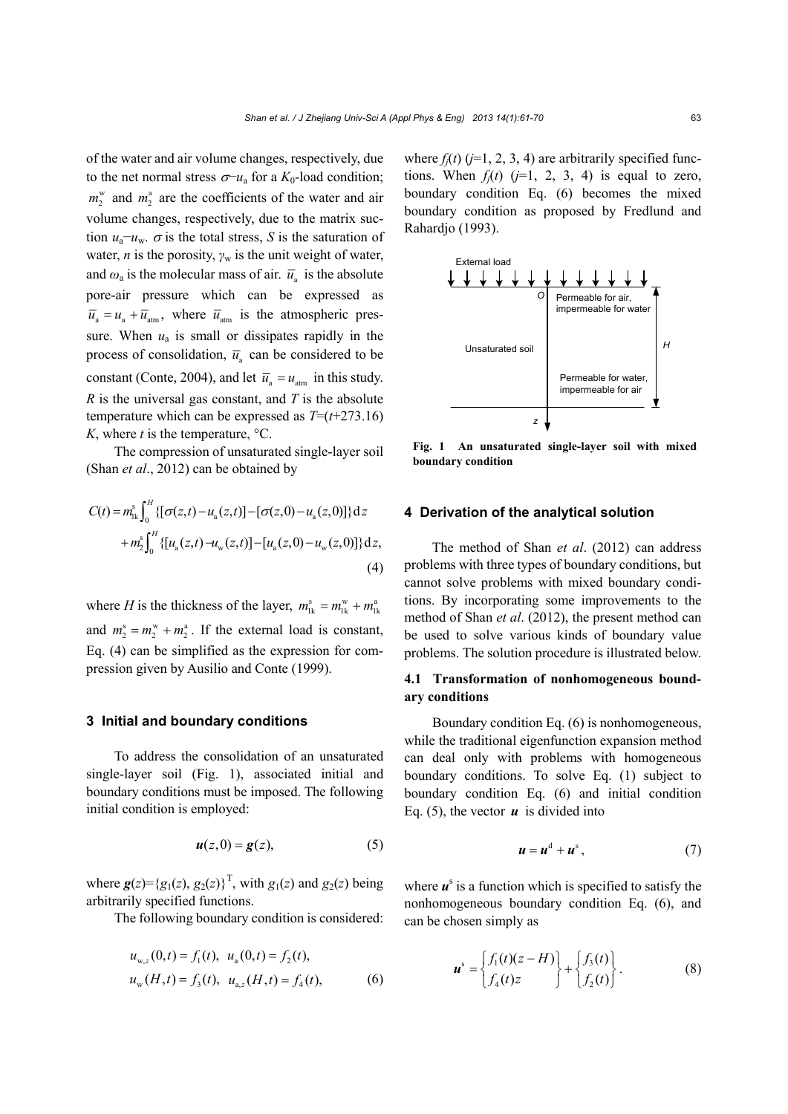of the water and air volume changes, respectively, due to the net normal stress  $\sigma$ <sup>-</sup> $u$ <sub>a</sub> for a  $K_0$ -load condition;  $m_2^{\text{w}}$  and  $m_2^{\text{a}}$  are the coefficients of the water and air volume changes, respectively, due to the matrix suction  $u_a$ <sup>-</sup> $u_w$ .  $\sigma$  is the total stress, *S* is the saturation of water, *n* is the porosity,  $\gamma_w$  is the unit weight of water, and  $\omega_a$  is the molecular mass of air.  $\overline{u}_a$  is the absolute pore-air pressure which can be expressed as  $\overline{u}_a = u_a + \overline{u}_{atm}$ , where  $\overline{u}_{atm}$  is the atmospheric pressure. When  $u_a$  is small or dissipates rapidly in the process of consolidation,  $\overline{u}_n$  can be considered to be constant (Conte, 2004), and let  $\bar{u}_a = u_{\text{atm}}$  in this study. *R* is the universal gas constant, and *T* is the absolute temperature which can be expressed as  $T=(t+273.16)$ *K*, where *t* is the temperature, °C.

The compression of unsaturated single-layer soil (Shan *et al*., 2012) can be obtained by

$$
C(t) = m_{1k}^{s} \int_{0}^{H} \{ [\sigma(z,t) - u_{a}(z,t)] - [\sigma(z,0) - u_{a}(z,0)] \} dz
$$
  
+ 
$$
m_{2}^{s} \int_{0}^{H} \{ [u_{a}(z,t) - u_{w}(z,t)] - [u_{a}(z,0) - u_{w}(z,0)] \} dz,
$$
  
(4)

where *H* is the thickness of the layer,  $m_{1k}^s = m_{1k}^w + m_{1k}^a$ and  $m_2^s = m_2^w + m_2^a$ . If the external load is constant, Eq. (4) can be simplified as the expression for compression given by Ausilio and Conte (1999).

## **3 Initial and boundary conditions**

To address the consolidation of an unsaturated single-layer soil (Fig. 1), associated initial and boundary conditions must be imposed. The following initial condition is employed:

$$
u(z,0) = g(z), \tag{5}
$$

where  $g(z) = {g_1(z), g_2(z)}^T$ , with  $g_1(z)$  and  $g_2(z)$  being arbitrarily specified functions.

The following boundary condition is considered:

$$
u_{w,z}(0,t) = f_1(t), u_a(0,t) = f_2(t),
$$
  

$$
u_w(H,t) = f_3(t), u_{a,z}(H,t) = f_4(t),
$$
 (6)

where  $f_i(t)$  ( $i=1, 2, 3, 4$ ) are arbitrarily specified functions. When  $f_i(t)$  ( $i=1, 2, 3, 4$ ) is equal to zero, boundary condition Eq. (6) becomes the mixed boundary condition as proposed by Fredlund and Rahardjo (1993).



**Fig. 1 An unsaturated single-layer soil with mixed boundary condition** 

#### **4 Derivation of the analytical solution**

The method of Shan *et al*. (2012) can address problems with three types of boundary conditions, but cannot solve problems with mixed boundary conditions. By incorporating some improvements to the method of Shan *et al*. (2012), the present method can be used to solve various kinds of boundary value problems. The solution procedure is illustrated below.

# **4.1 Transformation of nonhomogeneous boundary conditions**

Boundary condition Eq. (6) is nonhomogeneous, while the traditional eigenfunction expansion method can deal only with problems with homogeneous boundary conditions. To solve Eq. (1) subject to boundary condition Eq. (6) and initial condition Eq. (5), the vector  $\boldsymbol{u}$  is divided into

$$
u = ud + us, \t\t(7)
$$

where  $\boldsymbol{u}^s$  is a function which is specified to satisfy the nonhomogeneous boundary condition Eq. (6), and can be chosen simply as

$$
\boldsymbol{u}^s = \begin{cases} f_1(t)(z - H) \\ f_4(t)z \end{cases} + \begin{cases} f_3(t) \\ f_2(t) \end{cases} . \tag{8}
$$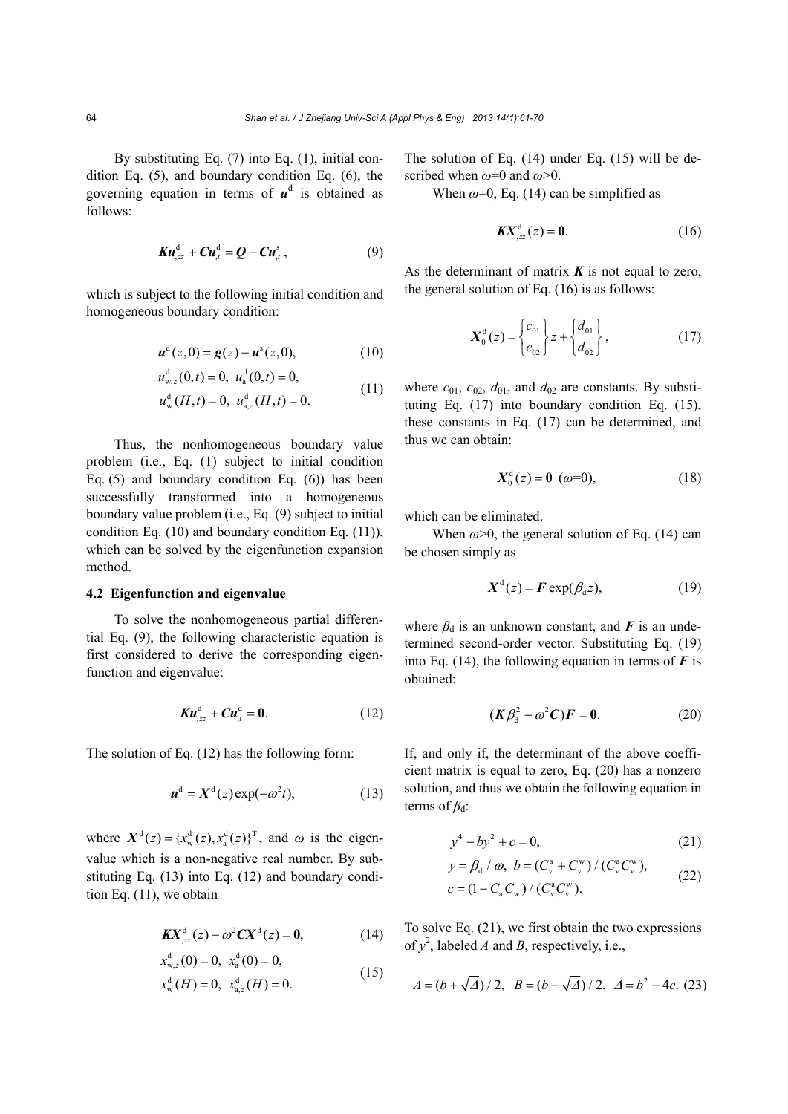By substituting Eq. (7) into Eq. (1), initial condition Eq.  $(5)$ , and boundary condition Eq.  $(6)$ , the governing equation in terms of  $u<sup>d</sup>$  is obtained as follows:

$$
K u_{,z}^d + C u_{,t}^d = Q - C u_{,t}^s, \qquad (9)
$$

which is subject to the following initial condition and homogeneous boundary condition:

$$
u^{d}(z,0) = g(z) - u^{s}(z,0),
$$
 (10)

$$
u_{w,z}^d(0,t) = 0, u_a^d(0,t) = 0,
$$
\n(11)

$$
u_w^d(H,t) = 0, u_{a,z}^d(H,t) = 0.
$$
 (11)

Thus, the nonhomogeneous boundary value problem (i.e., Eq. (1) subject to initial condition Eq.  $(5)$  and boundary condition Eq.  $(6)$ ) has been successfully transformed into a homogeneous boundary value problem (i.e., Eq. (9) subject to initial condition Eq. (10) and boundary condition Eq. (11)), which can be solved by the eigenfunction expansion method.

#### **4.2 Eigenfunction and eigenvalue**

To solve the nonhomogeneous partial differential Eq. (9), the following characteristic equation is first considered to derive the corresponding eigenfunction and eigenvalue:

$$
\mathbf{K}\mathbf{u}_{,zz}^{\mathrm{d}} + \mathbf{C}\mathbf{u}_{,t}^{\mathrm{d}} = \mathbf{0}.\tag{12}
$$

The solution of Eq. (12) has the following form:

$$
u^d = X^d(z) \exp(-\omega^2 t), \tag{13}
$$

where  $X^d(z) = {x_w^d(z), x_a^d(z)}^T$ , and  $\omega$  is the eigenvalue which is a non-negative real number. By substituting Eq. (13) into Eq. (12) and boundary condition Eq. (11), we obtain

$$
\boldsymbol{K\!X}_{,zz}^{\mathrm{d}}(z) - \omega^2 \boldsymbol{C\!X}^{\mathrm{d}}(z) = \boldsymbol{0},\tag{14}
$$

$$
x_{w,z}^d(0) = 0, \ x_a^d(0) = 0,
$$
  
\n
$$
x_w^d(H) = 0, \ x_{a,z}^d(H) = 0.
$$
 (15)

The solution of Eq. (14) under Eq. (15) will be described when  $\omega$ =0 and  $\omega$ >0.

When  $\omega$ =0, Eq. (14) can be simplified as

$$
\mathbf{KX}_{,zz}^d(z) = \mathbf{0}.\tag{16}
$$

As the determinant of matrix  $\boldsymbol{K}$  is not equal to zero, the general solution of Eq. (16) is as follows:

$$
X_0^d(z) = \begin{Bmatrix} c_{01} \\ c_{02} \end{Bmatrix} z + \begin{Bmatrix} d_{01} \\ d_{02} \end{Bmatrix},
$$
 (17)

where  $c_{01}$ ,  $c_{02}$ ,  $d_{01}$ , and  $d_{02}$  are constants. By substituting Eq. (17) into boundary condition Eq. (15), these constants in Eq. (17) can be determined, and thus we can obtain:

$$
X_0^d(z) = 0 \ (\omega = 0), \tag{18}
$$

which can be eliminated.

When  $\omega > 0$ , the general solution of Eq. (14) can be chosen simply as

$$
X^d(z) = F \exp(\beta_d z), \tag{19}
$$

where  $\beta_d$  is an unknown constant, and **F** is an undetermined second-order vector. Substituting Eq. (19) into Eq. (14), the following equation in terms of  $\vec{F}$  is obtained:

$$
(\boldsymbol{K}\boldsymbol{\beta}_{d}^{2}-\boldsymbol{\omega}^{2}\boldsymbol{C})\boldsymbol{F}=\boldsymbol{0}.
$$
 (20)

If, and only if, the determinant of the above coefficient matrix is equal to zero, Eq. (20) has a nonzero solution, and thus we obtain the following equation in terms of *β*<sub>d</sub>:

$$
y^4 - by^2 + c = 0,\t(21)
$$

$$
y = \beta_d / \omega, b = (C_v^a + C_v^w) / (C_v^a C_v^w),
$$
 (22)

$$
c = (1 - C_{\rm a} C_{\rm w}) / (C_{\rm v}^{\rm a} C_{\rm v}^{\rm w}). \tag{22}
$$

To solve Eq. (21), we first obtain the two expressions of  $y^2$ , labeled *A* and *B*, respectively, i.e.,

$$
A = (b + \sqrt{\Delta})/2, \quad B = (b - \sqrt{\Delta})/2, \quad A = b^2 - 4c. \tag{23}
$$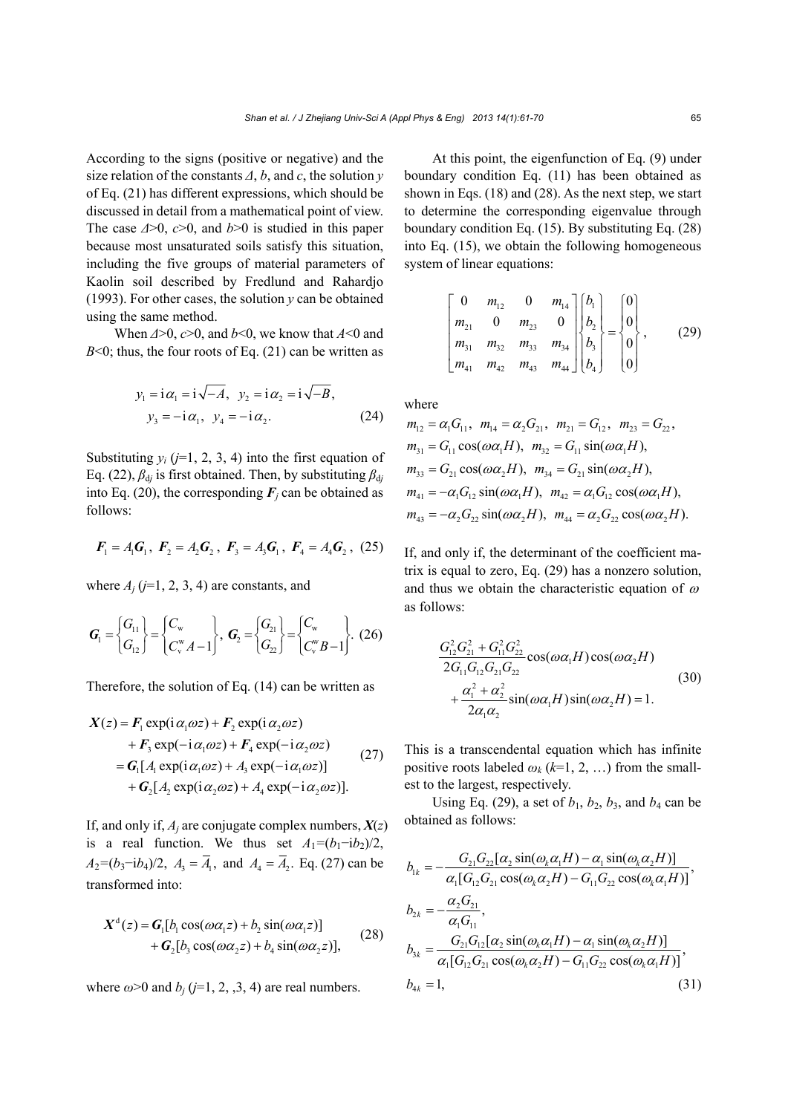According to the signs (positive or negative) and the size relation of the constants *Δ*, *b*, and *c*, the solution *y* of Eq. (21) has different expressions, which should be discussed in detail from a mathematical point of view. The case *Δ*>0, *c*>0, and *b*>0 is studied in this paper because most unsaturated soils satisfy this situation, including the five groups of material parameters of Kaolin soil described by Fredlund and Rahardjo (1993). For other cases, the solution *y* can be obtained using the same method.

When *Δ*>0, *c*>0, and *b*<0, we know that *A*<0 and  $B<0$ ; thus, the four roots of Eq. (21) can be written as

$$
y_1 = i\alpha_1 = i\sqrt{-A}, y_2 = i\alpha_2 = i\sqrt{-B},
$$
  
 $y_3 = -i\alpha_1, y_4 = -i\alpha_2.$  (24)

Substituting  $y_i$  ( $j=1, 2, 3, 4$ ) into the first equation of Eq. (22),  $\beta_{d}$  is first obtained. Then, by substituting  $\beta_{d}$ into Eq. (20), the corresponding  $\vec{F}_i$  can be obtained as follows:

$$
F_1 = A_1G_1
$$
,  $F_2 = A_2G_2$ ,  $F_3 = A_3G_1$ ,  $F_4 = A_4G_2$ , (25)

where  $A_i$  ( $j=1, 2, 3, 4$ ) are constants, and

$$
\boldsymbol{G}_1 = \begin{Bmatrix} G_{11} \\ G_{12} \end{Bmatrix} = \begin{Bmatrix} C_{\rm w} \\ C_{\rm v}^{\rm w} A - 1 \end{Bmatrix}, \ \boldsymbol{G}_2 = \begin{Bmatrix} G_{21} \\ G_{22} \end{Bmatrix} = \begin{Bmatrix} C_{\rm w} \\ C_{\rm v}^{\rm w} B - 1 \end{Bmatrix}. \ (26)
$$

Therefore, the solution of Eq. (14) can be written as

$$
X(z) = F_1 \exp(i\alpha_1 \omega z) + F_2 \exp(i\alpha_2 \omega z)
$$
  
+  $F_3 \exp(-i\alpha_1 \omega z) + F_4 \exp(-i\alpha_2 \omega z)$   
=  $G_1[A_1 \exp(i\alpha_1 \omega z) + A_3 \exp(-i\alpha_1 \omega z)]$   
+  $G_2[A_2 \exp(i\alpha_2 \omega z) + A_4 \exp(-i\alpha_2 \omega z)].$  (27)

If, and only if,  $A_i$  are conjugate complex numbers,  $X(z)$ is a real function. We thus set  $A_1=(b_1 - ib_2)/2$ ,  $A_2=(b_3-b_4)/2$ ,  $A_3=\overline{A}_1$ , and  $A_4=\overline{A}_2$ . Eq. (27) can be transformed into:

$$
X^{d}(z) = G_{1}[b_{1} \cos(\omega \alpha_{1} z) + b_{2} \sin(\omega \alpha_{1} z)] + G_{2}[b_{3} \cos(\omega \alpha_{2} z) + b_{4} \sin(\omega \alpha_{2} z)],
$$
 (28)

where  $\omega$ >0 and  $b_j$  ( $j$ =1, 2, ,3, 4) are real numbers.

At this point, the eigenfunction of Eq. (9) under boundary condition Eq. (11) has been obtained as shown in Eqs. (18) and (28). As the next step, we start to determine the corresponding eigenvalue through boundary condition Eq. (15). By substituting Eq. (28) into Eq. (15), we obtain the following homogeneous system of linear equations:

$$
\begin{bmatrix} 0 & m_{12} & 0 & m_{14} \ m_{21} & 0 & m_{23} & 0 \ m_{31} & m_{32} & m_{33} & m_{34} \ m_{41} & m_{42} & m_{43} & m_{44} \end{bmatrix} \begin{bmatrix} b_1 \\ b_2 \\ b_3 \\ b_4 \end{bmatrix} = \begin{bmatrix} 0 \\ 0 \\ 0 \\ 0 \end{bmatrix},
$$
 (29)

where

$$
m_{12} = \alpha_1 G_{11}, \quad m_{14} = \alpha_2 G_{21}, \quad m_{21} = G_{12}, \quad m_{23} = G_{22},
$$
  
\n
$$
m_{31} = G_{11} \cos(\omega \alpha_1 H), \quad m_{32} = G_{11} \sin(\omega \alpha_1 H),
$$
  
\n
$$
m_{33} = G_{21} \cos(\omega \alpha_2 H), \quad m_{34} = G_{21} \sin(\omega \alpha_2 H),
$$
  
\n
$$
m_{41} = -\alpha_1 G_{12} \sin(\omega \alpha_1 H), \quad m_{42} = \alpha_1 G_{12} \cos(\omega \alpha_1 H),
$$
  
\n
$$
m_{43} = -\alpha_2 G_{22} \sin(\omega \alpha_2 H), \quad m_{44} = \alpha_2 G_{22} \cos(\omega \alpha_2 H).
$$

If, and only if, the determinant of the coefficient matrix is equal to zero, Eq. (29) has a nonzero solution, and thus we obtain the characteristic equation of  $\omega$ as follows:

$$
\frac{G_{12}^2 G_{21}^2 + G_{11}^2 G_{22}^2}{2G_{11} G_{12} G_{21} G_{22}} \cos(\omega \alpha_1 H) \cos(\omega \alpha_2 H) \n+ \frac{\alpha_1^2 + \alpha_2^2}{2\alpha_1 \alpha_2} \sin(\omega \alpha_1 H) \sin(\omega \alpha_2 H) = 1.
$$
\n(30)

This is a transcendental equation which has infinite positive roots labeled  $\omega_k$  ( $k=1, 2, ...$ ) from the smallest to the largest, respectively.

Using Eq. (29), a set of  $b_1$ ,  $b_2$ ,  $b_3$ , and  $b_4$  can be obtained as follows:

$$
b_{1k} = -\frac{G_{21}G_{22}[\alpha_2 \sin(\omega_k \alpha_1 H) - \alpha_1 \sin(\omega_k \alpha_2 H)]}{\alpha_1[G_{12}G_{21} \cos(\omega_k \alpha_2 H) - G_{11}G_{22} \cos(\omega_k \alpha_1 H)]},
$$
  
\n
$$
b_{2k} = -\frac{\alpha_2 G_{21}}{\alpha_1 G_{11}},
$$
  
\n
$$
b_{3k} = \frac{G_{21}G_{12}[\alpha_2 \sin(\omega_k \alpha_1 H) - \alpha_1 \sin(\omega_k \alpha_2 H)]}{\alpha_1[G_{12}G_{21} \cos(\omega_k \alpha_2 H) - G_{11}G_{22} \cos(\omega_k \alpha_1 H)]},
$$
  
\n
$$
b_{4k} = 1,
$$
\n(31)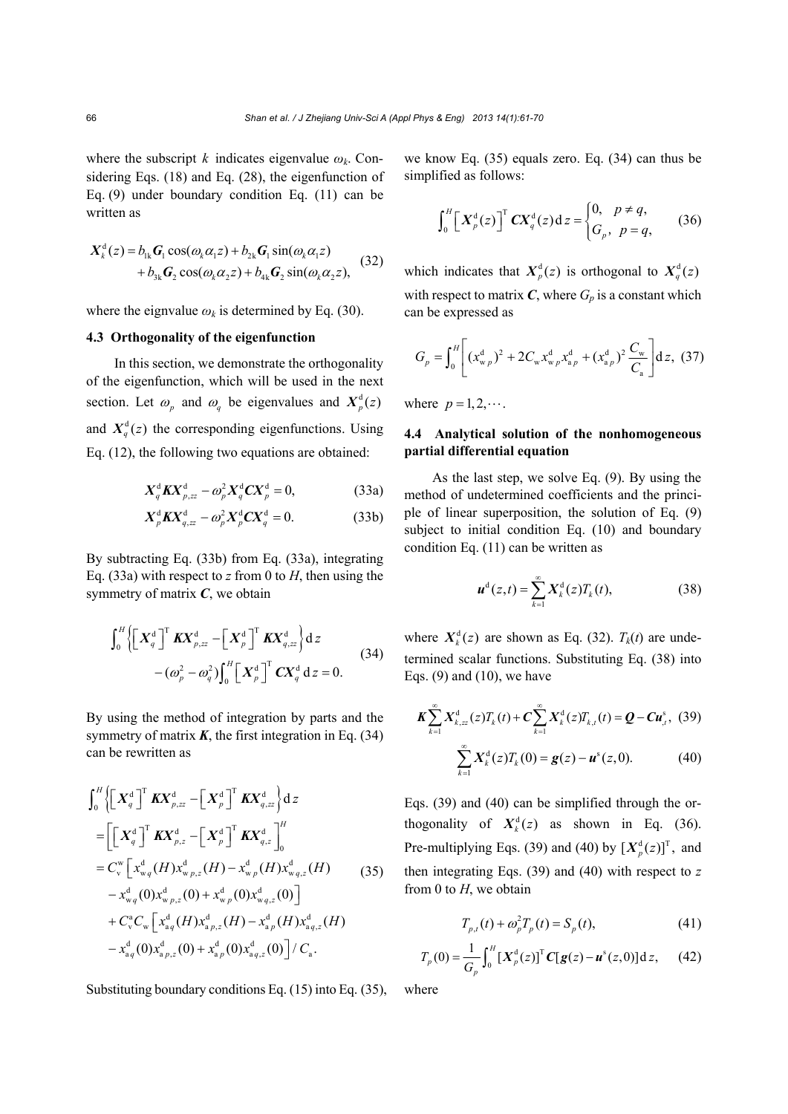where the subscript *k* indicates eigenvalue  $\omega_k$ . Considering Eqs. (18) and Eq. (28), the eigenfunction of Eq. (9) under boundary condition Eq. (11) can be written as

$$
X_k^d(z) = b_{1k} G_1 \cos(\omega_k \alpha_1 z) + b_{2k} G_1 \sin(\omega_k \alpha_1 z)
$$
  
+ 
$$
b_{3k} G_2 \cos(\omega_k \alpha_2 z) + b_{4k} G_2 \sin(\omega_k \alpha_2 z),
$$
 (32)

where the eignvalue  $\omega_k$  is determined by Eq. (30).

#### **4.3 Orthogonality of the eigenfunction**

In this section, we demonstrate the orthogonality of the eigenfunction, which will be used in the next section. Let  $\omega_p$  and  $\omega_q$  be eigenvalues and  $X^d_p(z)$ and  $X_q^d(z)$  the corresponding eigenfunctions. Using Eq. (12), the following two equations are obtained:

$$
\boldsymbol{X}_{q}^{\mathrm{d}} \boldsymbol{K} \boldsymbol{X}_{p,zz}^{\mathrm{d}} - \omega_{p}^{2} \boldsymbol{X}_{q}^{\mathrm{d}} \boldsymbol{C} \boldsymbol{X}_{p}^{\mathrm{d}} = 0, \qquad (33a)
$$

$$
X_p^{\mathrm{d}} K X_{q,\mathrm{zz}}^{\mathrm{d}} - \omega_p^2 X_p^{\mathrm{d}} C X_q^{\mathrm{d}} = 0. \tag{33b}
$$

By subtracting Eq. (33b) from Eq. (33a), integrating Eq. (33a) with respect to  $\overline{z}$  from 0 to  $H$ , then using the symmetry of matrix  $C$ , we obtain

$$
\int_0^H \left\{ \left[ \boldsymbol{X}_q^d \right]^{\mathrm{T}} \boldsymbol{K} \boldsymbol{X}_{p,z}^d - \left[ \boldsymbol{X}_p^d \right]^{\mathrm{T}} \boldsymbol{K} \boldsymbol{X}_{q,z}^d \right\} \mathrm{d}z - (\omega_p^2 - \omega_q^2) \int_0^H \left[ \boldsymbol{X}_p^d \right]^{\mathrm{T}} \boldsymbol{C} \boldsymbol{X}_q^d \mathrm{d}z = 0.
$$
 (34)

By using the method of integration by parts and the symmetry of matrix  $K$ , the first integration in Eq. (34) can be rewritten as

$$
\int_{0}^{H} \left\{ \left[ \boldsymbol{X}_{q}^{\mathrm{d}} \right]^{T} \boldsymbol{K} \boldsymbol{X}_{p,zz}^{\mathrm{d}} - \left[ \boldsymbol{X}_{p}^{\mathrm{d}} \right]^{T} \boldsymbol{K} \boldsymbol{X}_{q,zz}^{\mathrm{d}} \right\} \mathrm{d}z \n= \left[ \left[ \boldsymbol{X}_{q}^{\mathrm{d}} \right]^{T} \boldsymbol{K} \boldsymbol{X}_{p,z}^{\mathrm{d}} - \left[ \boldsymbol{X}_{p}^{\mathrm{d}} \right]^{T} \boldsymbol{K} \boldsymbol{X}_{q,z}^{\mathrm{d}} \right]_{0}^{H} \n= C_{\mathrm{v}}^{\mathrm{w}} \left[ \boldsymbol{x}_{\mathrm{w}q}^{\mathrm{d}} (H) \boldsymbol{x}_{\mathrm{w}p,z}^{\mathrm{d}} (H) - \boldsymbol{x}_{\mathrm{w}p}^{\mathrm{d}} (H) \boldsymbol{x}_{\mathrm{w}q,z}^{\mathrm{d}} (H) \right] \n- \boldsymbol{x}_{\mathrm{w}q}^{\mathrm{d}} (0) \boldsymbol{x}_{\mathrm{w}p,z}^{\mathrm{d}} (0) + \boldsymbol{x}_{\mathrm{w}p}^{\mathrm{d}} (0) \boldsymbol{x}_{\mathrm{w}q,z}^{\mathrm{d}} (0) \right] \n+ C_{\mathrm{v}}^{\mathrm{a}} C_{\mathrm{w}} \left[ \boldsymbol{x}_{\mathrm{a}q}^{\mathrm{d}} (H) \boldsymbol{x}_{\mathrm{a}p,z}^{\mathrm{d}} (H) - \boldsymbol{x}_{\mathrm{a}p}^{\mathrm{d}} (H) \boldsymbol{x}_{\mathrm{a}q,z}^{\mathrm{d}} (H) \right. \n- \boldsymbol{x}_{\mathrm{a}q}^{\mathrm{d}} (0) \boldsymbol{x}_{\mathrm{a}p,z}^{\mathrm{d}} (0) + \boldsymbol{x}_{\mathrm{a}p}^{\mathrm{d}} (0) \boldsymbol{x}_{\mathrm{a}q,z}^{\mathrm{d}} (0) \right] / C_{\mathrm{a}}.
$$
\n(35)

Substituting boundary conditions Eq. (15) into Eq. (35),

we know Eq. (35) equals zero. Eq. (34) can thus be simplified as follows:

$$
\int_0^H \left[ X_p^d(z) \right]^T \mathbf{C} X_q^d(z) dz = \begin{cases} 0, & p \neq q, \\ G_p, & p = q, \end{cases}
$$
 (36)

which indicates that  $X^d_p(z)$  is orthogonal to  $X^d_q(z)$ with respect to matrix  $C$ , where  $G_p$  is a constant which can be expressed as

$$
G_p = \int_0^H \left[ (x_{wp}^d)^2 + 2C_w x_{wp}^d x_{ap}^d + (x_{ap}^d)^2 \frac{C_w}{C_a} \right] dz, (37)
$$

where  $p = 1, 2, \cdots$ .

# **4.4 Analytical solution of the nonhomogeneous partial differential equation**

As the last step, we solve Eq. (9). By using the method of undetermined coefficients and the principle of linear superposition, the solution of Eq. (9) subject to initial condition Eq. (10) and boundary condition Eq. (11) can be written as

$$
\boldsymbol{u}^{\mathrm{d}}(z,t) = \sum_{k=1}^{\infty} X_k^{\mathrm{d}}(z) T_k(t), \tag{38}
$$

where  $X_k^d(z)$  are shown as Eq. (32).  $T_k(t)$  are undetermined scalar functions. Substituting Eq. (38) into Eqs.  $(9)$  and  $(10)$ , we have

$$
K\sum_{k=1}^{\infty} X_{k,zz}^{d}(z)T_{k}(t) + C\sum_{k=1}^{\infty} X_{k}^{d}(z)T_{k,t}(t) = Q - Cu_{,t}^{s}, (39)
$$

$$
\sum_{k=1}^{\infty} X_{k}^{d}(z)T_{k}(0) = g(z) - u^{s}(z,0). \qquad (40)
$$

$$
\sum_{k=1}^{n} (1 + k \cdot 1) \cdot k \cdot 10 = 0
$$
\n39) and (40) can be simplified through the or-

Eqs.  $(3)$ thogonality of  $X_k^d(z)$  as shown in Eq. (36). Pre-multiplying Eqs. (39) and (40) by  $[X_n^d(z)]^T$ , and then integrating Eqs. (39) and (40) with respect to *z* from 0 to *H*, we obtain

$$
T_{p,t}(t) + \omega_p^2 T_p(t) = S_p(t),
$$
\n(41)

$$
T_p(0) = \frac{1}{G_p} \int_0^H \left[ \mathbf{X}_p^d(z) \right]^{\mathrm{T}} \mathbf{C}[\mathbf{g}(z) - \mathbf{u}^s(z, 0)] \, \mathrm{d}z, \qquad (42)
$$

where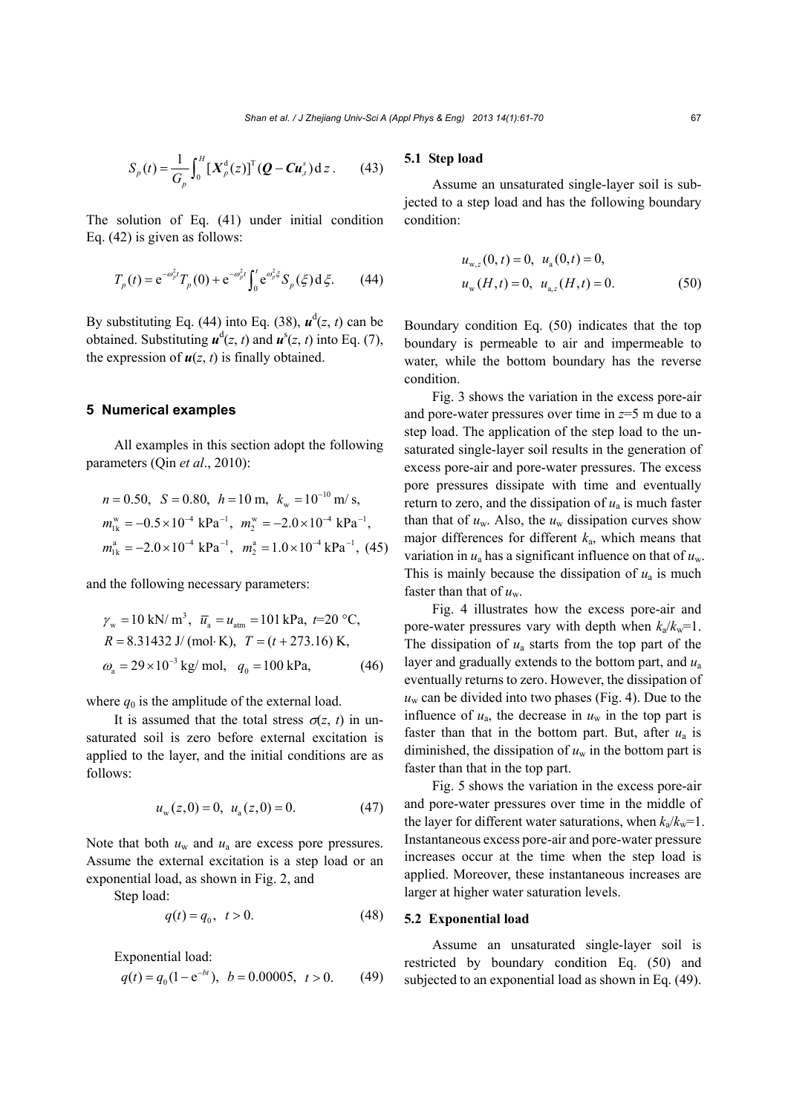$$
S_p(t) = \frac{1}{G_p} \int_0^H \left[ \boldsymbol{X}_p^d(z) \right]^{\mathrm{T}} (\boldsymbol{Q} - \boldsymbol{C} \boldsymbol{u}_x^s) \,\mathrm{d}\, z \,. \tag{43}
$$

The solution of Eq. (41) under initial condition Eq. (42) is given as follows:

$$
T_p(t) = e^{-\omega_p^2 t} T_p(0) + e^{-\omega_p^2 t} \int_0^t e^{\omega_p^2 \xi} S_p(\xi) d\xi.
$$
 (44)

By substituting Eq. (44) into Eq. (38),  $u^d(z, t)$  can be obtained. Substituting  $u^d(z, t)$  and  $u^s(z, t)$  into Eq. (7), the expression of  $u(z, t)$  is finally obtained.

## **5 Numerical examples**

All examples in this section adopt the following parameters (Qin *et al*., 2010):

$$
n = 0.50
$$
,  $S = 0.80$ ,  $h = 10$  m,  $k_w = 10^{-10}$  m/s,  
\n $m_{1k}^w = -0.5 \times 10^{-4}$  kPa<sup>-1</sup>,  $m_2^w = -2.0 \times 10^{-4}$  kPa<sup>-1</sup>,  
\n $m_{1k}^a = -2.0 \times 10^{-4}$  kPa<sup>-1</sup>,  $m_2^a = 1.0 \times 10^{-4}$  kPa<sup>-1</sup>, (45)

and the following necessary parameters:

$$
\gamma_w = 10 \text{ kN/m}^3
$$
,  $\overline{u}_a = u_{\text{atm}} = 101 \text{ kPa}$ ,  $t=20 \text{ }^{\circ}\text{C}$ ,  
\n $R = 8.31432 \text{ J/(mol·K)}$ ,  $T = (t + 273.16) \text{ K}$ ,  
\n $\omega_a = 29 \times 10^{-3} \text{ kg/mol}$ ,  $q_0 = 100 \text{ kPa}$ , (46)

where  $q_0$  is the amplitude of the external load.

It is assumed that the total stress  $\sigma(z, t)$  in unsaturated soil is zero before external excitation is applied to the layer, and the initial conditions are as follows:

$$
u_w(z,0) = 0, \ u_a(z,0) = 0. \tag{47}
$$

Note that both  $u_w$  and  $u_a$  are excess pore pressures. Assume the external excitation is a step load or an exponential load, as shown in Fig. 2, and

Step load:

$$
q(t) = q_0, \ t > 0. \tag{48}
$$

Exponential load:

$$
q(t) = q_0(1 - e^{-bt}), \quad b = 0.00005, \quad t > 0. \tag{49}
$$

## **5.1 Step load**

Assume an unsaturated single-layer soil is subjected to a step load and has the following boundary condition:

$$
u_{w,z}(0, t) = 0, u_a(0,t) = 0,
$$
  

$$
u_w(H, t) = 0, u_{a,z}(H, t) = 0.
$$
 (50)

Boundary condition Eq. (50) indicates that the top boundary is permeable to air and impermeable to water, while the bottom boundary has the reverse condition.

Fig. 3 shows the variation in the excess pore-air and pore-water pressures over time in *z*=5 m due to a step load. The application of the step load to the unsaturated single-layer soil results in the generation of excess pore-air and pore-water pressures. The excess pore pressures dissipate with time and eventually return to zero, and the dissipation of  $u_a$  is much faster than that of  $u_w$ . Also, the  $u_w$  dissipation curves show major differences for different *k*a, which means that variation in  $u_a$  has a significant influence on that of  $u_w$ . This is mainly because the dissipation of  $u_a$  is much faster than that of *u*w.

Fig. 4 illustrates how the excess pore-air and pore-water pressures vary with depth when  $k_a/k_w=1$ . The dissipation of  $u_a$  starts from the top part of the layer and gradually extends to the bottom part, and *u*<sup>a</sup> eventually returns to zero. However, the dissipation of  $u_w$  can be divided into two phases (Fig. 4). Due to the influence of  $u_a$ , the decrease in  $u_w$  in the top part is faster than that in the bottom part. But, after  $u_a$  is diminished, the dissipation of  $u_w$  in the bottom part is faster than that in the top part.

Fig. 5 shows the variation in the excess pore-air and pore-water pressures over time in the middle of the layer for different water saturations, when  $k_a/k_w=1$ . Instantaneous excess pore-air and pore-water pressure increases occur at the time when the step load is applied. Moreover, these instantaneous increases are larger at higher water saturation levels.

#### **5.2 Exponential load**

Assume an unsaturated single-layer soil is restricted by boundary condition Eq. (50) and subjected to an exponential load as shown in Eq. (49).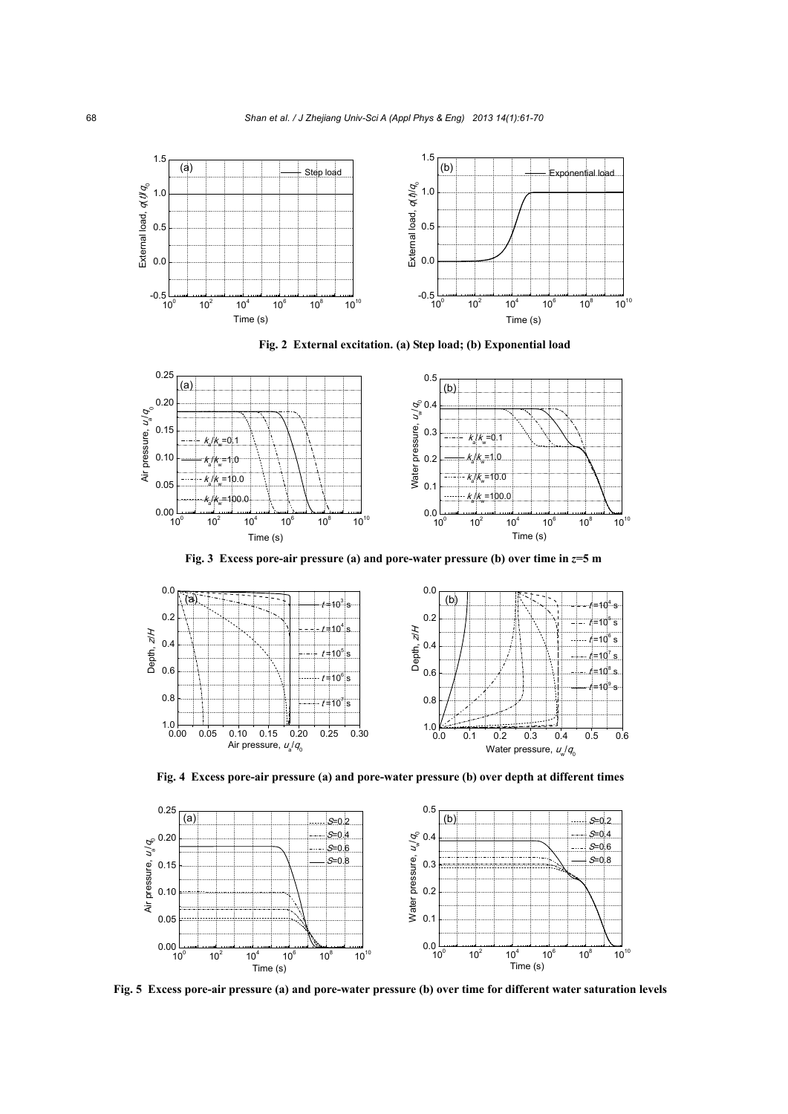

**Fig. 2 External excitation. (a) Step load; (b) Exponential load** 



**Fig. 3 Excess pore-air pressure (a) and pore-water pressure (b) over time in** *z***=5 m** 



**Fig. 4 Excess pore-air pressure (a) and pore-water pressure (b) over depth at different times** 



**Fig. 5 Excess pore-air pressure (a) and pore-water pressure (b) over time for different water saturation levels**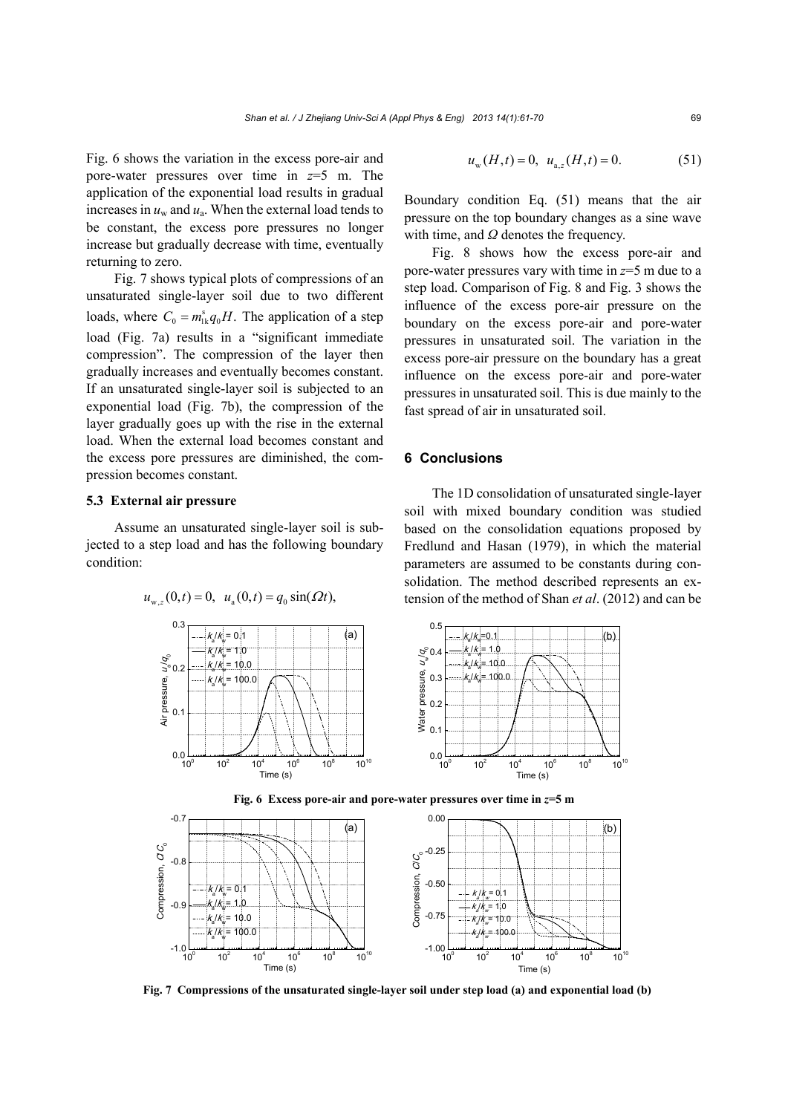Fig. 6 shows the variation in the excess pore-air and pore-water pressures over time in *z*=5 m. The application of the exponential load results in gradual increases in  $u_w$  and  $u_a$ . When the external load tends to be constant, the excess pore pressures no longer increase but gradually decrease with time, eventually returning to zero.

Fig. 7 shows typical plots of compressions of an unsaturated single-layer soil due to two different loads, where  $C_0 = m_{1k}^s q_0 H$ . The application of a step load (Fig. 7a) results in a "significant immediate compression". The compression of the layer then gradually increases and eventually becomes constant. If an unsaturated single-layer soil is subjected to an exponential load (Fig. 7b), the compression of the layer gradually goes up with the rise in the external load. When the external load becomes constant and the excess pore pressures are diminished, the compression becomes constant.

## **5.3 External air pressure**

Assume an unsaturated single-layer soil is subjected to a step load and has the following boundary condition:

$$
u_{w,z}(0,t) = 0
$$
,  $u_a(0,t) = q_0 \sin(\Omega t)$ ,



Boundary condition Eq. (51) means that the air pressure on the top boundary changes as a sine wave with time, and *Ω* denotes the frequency.

Fig. 8 shows how the excess pore-air and pore-water pressures vary with time in *z*=5 m due to a step load. Comparison of Fig. 8 and Fig. 3 shows the influence of the excess pore-air pressure on the boundary on the excess pore-air and pore-water pressures in unsaturated soil. The variation in the excess pore-air pressure on the boundary has a great influence on the excess pore-air and pore-water pressures in unsaturated soil. This is due mainly to the fast spread of air in unsaturated soil.

# **6 Conclusions**

The 1D consolidation of unsaturated single-layer soil with mixed boundary condition was studied based on the consolidation equations proposed by Fredlund and Hasan (1979), in which the material parameters are assumed to be constants during consolidation. The method described represents an extension of the method of Shan *et al*. (2012) and can be



**Fig. 7 Compressions of the unsaturated single-layer soil under step load (a) and exponential load (b)**